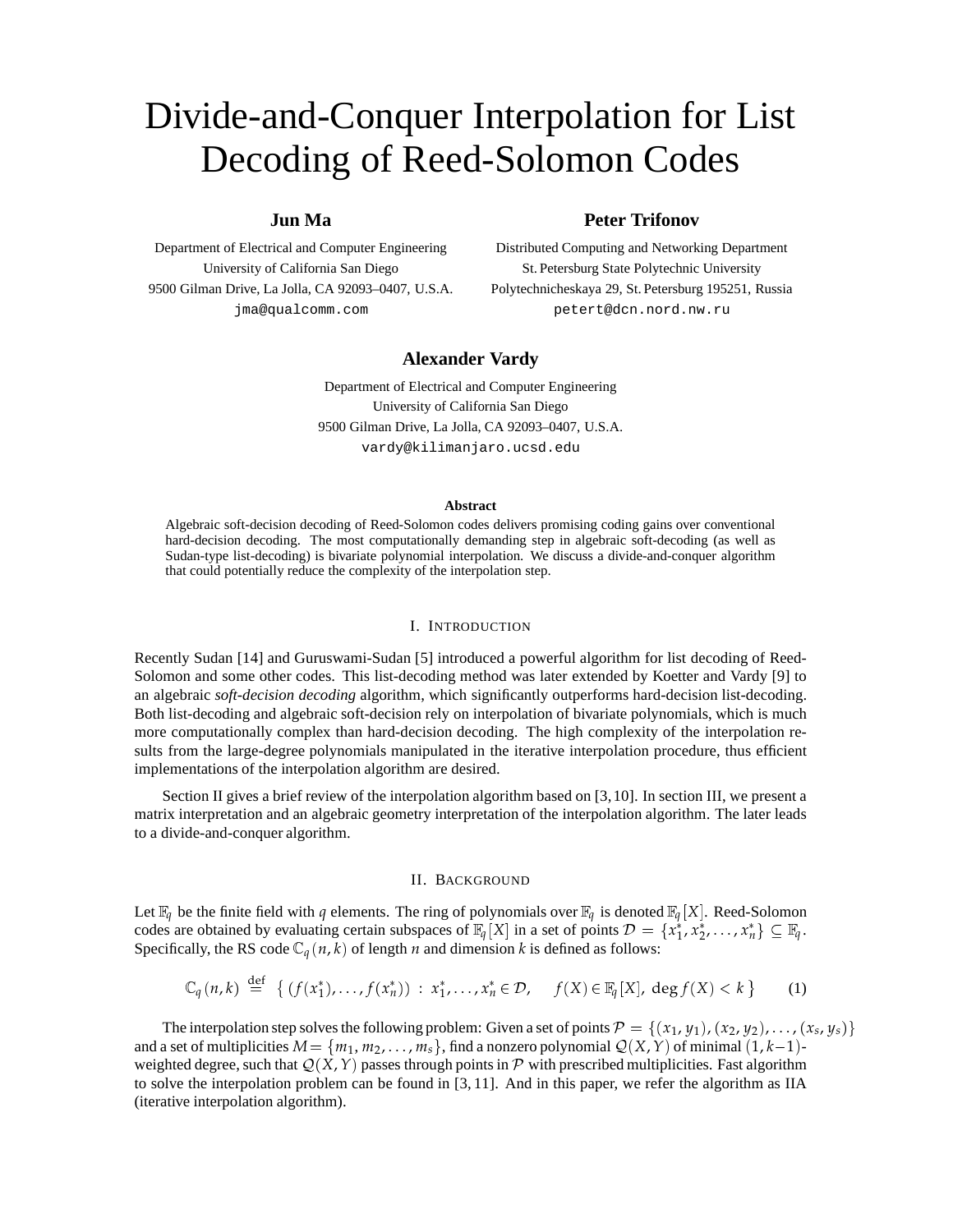# Divide-and-Conquer Interpolation for List Decoding of Reed-Solomon Codes

# **Jun Ma**

Department of Electrical and Computer Engineering University of California San Diego 9500 Gilman Drive, La Jolla, CA 92093–0407, U.S.A. jma@qualcomm.com

def

## **Peter Trifonov**

Distributed Computing and Networking Department St. Petersburg State Polytechnic University Polytechnicheskaya 29, St. Petersburg 195251, Russia petert@dcn.nord.nw.ru

# **Alexander Vardy**

Department of Electrical and Computer Engineering University of California San Diego 9500 Gilman Drive, La Jolla, CA 92093–0407, U.S.A. vardy@kilimanjaro.ucsd.edu

#### **Abstract**

Algebraic soft-decision decoding of Reed-Solomon codes delivers promising coding gains over conventional hard-decision decoding. The most computationally demanding step in algebraic soft-decoding (as well as Sudan-type list-decoding) is bivariate polynomial interpolation. We discuss a divide-and-conquer algorithm that could potentially reduce the complexity of the interpolation step.

## I. INTRODUCTION

Recently Sudan [14] and Guruswami-Sudan [5] introduced a powerful algorithm for list decoding of Reed-Solomon and some other codes. This list-decoding method was later extended by Koetter and Vardy [9] to an algebraic *soft-decision decoding* algorithm, which significantly outperforms hard-decision list-decoding. Both list-decoding and algebraic soft-decision rely on interpolation of bivariate polynomials, which is much more computationally complex than hard-decision decoding. The high complexity of the interpolation results from the large-degree polynomials manipulated in the iterative interpolation procedure, thus efficient implementations of the interpolation algorithm are desired.

Section II gives a brief review of the interpolation algorithm based on [3,10]. In section III, we present a matrix interpretation and an algebraic geometry interpretation of the interpolation algorithm. The later leads to a divide-and-conquer algorithm.

#### II. BACKGROUND

Let  $\mathbb{F}_q$  be the finite field with *q* elements. The ring of polynomials over  $\mathbb{F}_q$  is denoted  $\mathbb{F}_q[X]$ . Reed-Solomon codes are obtained by evaluating certain subspaces of  $\mathbb{F}_q[X]$  in a set of points  $\mathcal{D} = \{x_1^*, x_2^*, \dots, x_n^*\} \subseteq \mathbb{F}_q$ . Specifically, the RS code  $\mathbb{C}_q(n, k)$  of length *n* and dimension *k* is defined as follows:

$$
\mathbb{C}_q(n,k) \stackrel{\text{def}}{=} \left\{ \left( f(x_1^*), \dots, f(x_n^*) \right) : x_1^*, \dots, x_n^* \in \mathcal{D}, \quad f(X) \in \mathbb{F}_q[X], \deg f(X) < k \right\} \tag{1}
$$

The interpolation step solves the following problem: Given a set of points  $\mathcal{P} = \{(x_1, y_1), (x_2, y_2), \dots, (x_s, y_s)\}\$ and a set of multiplicities  $M = \{m_1, m_2, \ldots, m_s\}$ , find a nonzero polynomial  $Q(X, Y)$  of minimal  $(1, k-1)$ weighted degree, such that  $Q(X, Y)$  passes through points in  $P$  with prescribed multiplicities. Fast algorithm to solve the interpolation problem can be found in [3, 11]. And in this paper, we refer the algorithm as IIA (iterative interpolation algorithm).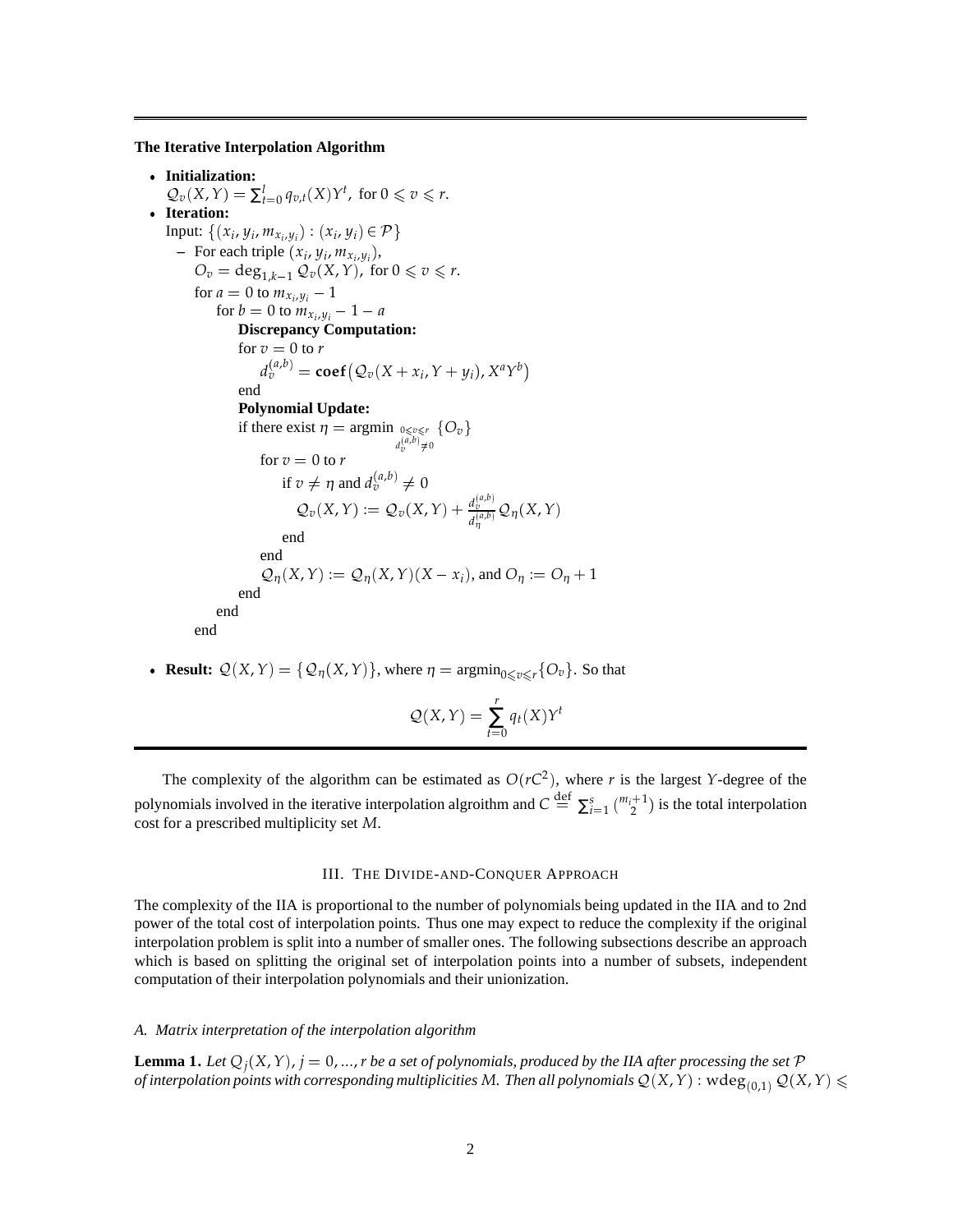**The Iterative Interpolation Algorithm**

 **Initialization:**  $\mathcal{Q}_v(X, Y) = \sum_{t=0}^l q_{v,t}(X)Y^t$ , for  $0 \le v \le r$ . **Iteration:** Input:  $\{(x_i, y_i, m_{x_i, y_i}) : (x_i, y_i) \in \mathcal{P}\}\$  $-$  For each triple  $(x_i, y_i, m_{x_i, y_i}),$  $O_v = \deg_{1,k-1}^{1} Q_v(X,Y)$ , for  $0 \le v \le r$ . for  $a = 0$  to  $m_{x_i, y_i} - 1$ for  $b = 0$  to  $m_{x_i, y_i} - 1 - a$ **Discrepancy Computation:** for  $v = 0$  to  $r = r$  $d_v^{(a,b)} = \mathbf{coef}\big(\mathcal{Q}_v(X+x_i, Y+y_i), X^aY^b\big)$ end **Polynomial Update:** if there exist  $\eta = \argmin_{0 \leq v \leq r}$  $d_v^{(a,b)} \neq 0$  $\{O_v\}$ for  $v = 0$  to  $r = 0$ if  $v \neq \eta$  and  $d_v^{(a,b)} \neq 0$  $\mathcal{Q}_v(X, Y) := \mathcal{Q}_v(X, Y) + \frac{d_v^{(a,b)}}{f^{(a,b)}}$  $\frac{d\psi}{d\eta^{(a,b)}}\mathcal{Q}_{\eta}(X,Y)$ end end  $\mathcal{Q}_{\eta}(X, Y) := \mathcal{Q}_{\eta}(X, Y)(X - x_i)$ , and  $O_{\eta} := O_{\eta} + 1$ end end end

• **Result:**  $Q(X, Y) = \{Q_{\eta}(X, Y)\}\$ , where  $\eta = \operatorname{argmin}_{0 \leq \nu \leq r}\{O_{\nu}\}\$ . So that

$$
Q(X,Y) = \sum_{t=0}^{r} q_t(X)Y^t
$$

The complexity of the algorithm can be estimated as  $O(rC^2)$ , where *r* is the largest *Y*-degree of the polynomials involved in the iterative interpolation algroithm and  $C \stackrel{\text{def}}{=} \sum_{i=1}^{s} \binom{m_i+1}{2}$  is the total interpolation cost for a prescribed multiplicity set *M*.

## III. THE DIVIDE-AND-CONQUER APPROACH

The complexity of the IIA is proportional to the number of polynomials being updated in the IIA and to 2nd power of the total cost of interpolation points. Thus one may expect to reduce the complexity if the original interpolation problem is split into a number of smaller ones. The following subsections describe an approach which is based on splitting the original set of interpolation points into a number of subsets, independent computation of their interpolation polynomials and their unionization.

## *A. Matrix interpretation of the interpolation algorithm*

**Lemma 1.** Let  $Q_i(X, Y)$ ,  $j = 0, ..., r$  be a set of polynomials, produced by the IIA after processing the set  $P$ *of interpolation points with corresponding multiplicities M. Then all polynomials*  $\mathcal{Q}(X,Y)$  *: w* $\deg_{(0,1)}\mathcal{Q}(X,Y)\leqslant$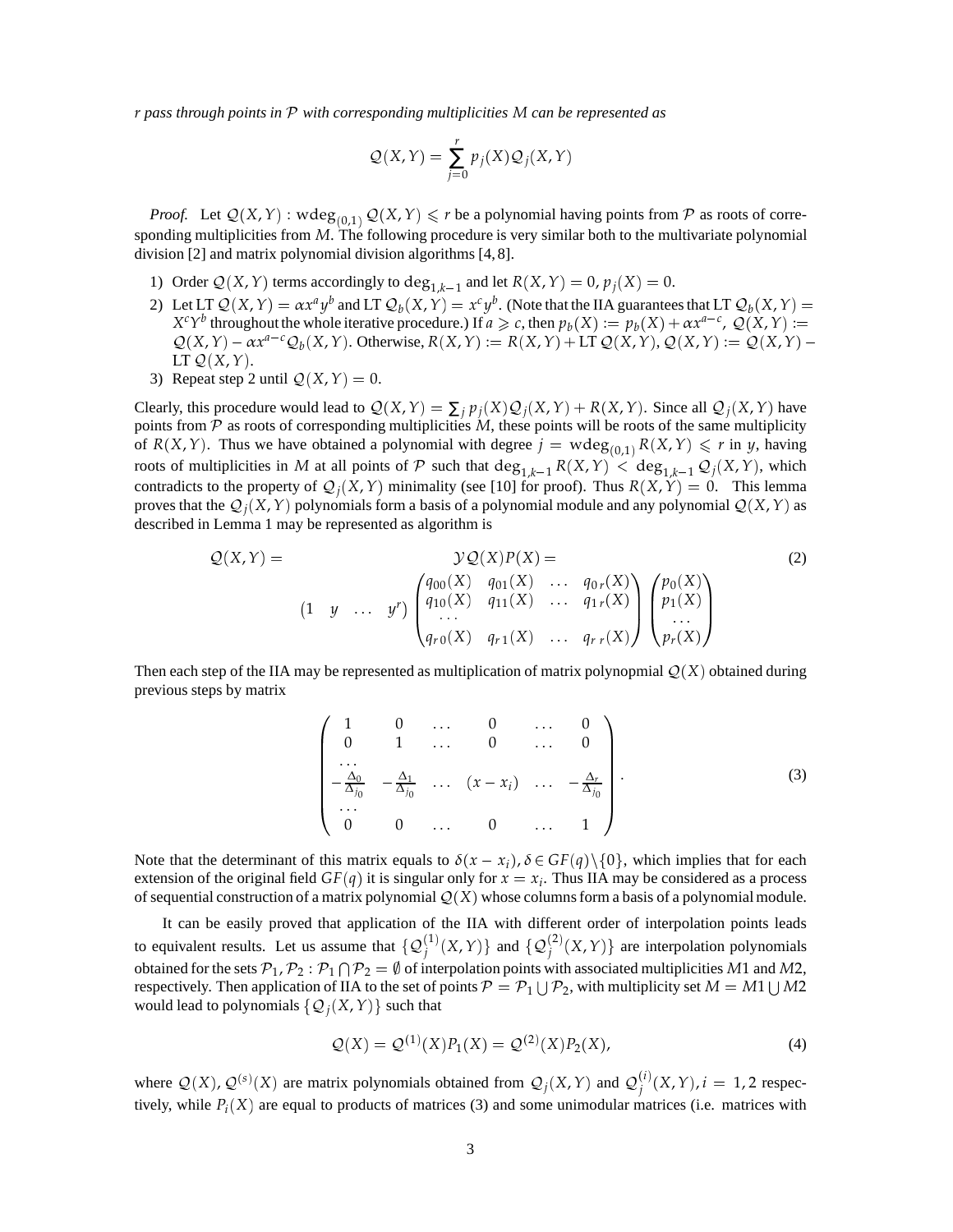*r pass through points in* <sup>P</sup> *with corresponding multiplicities M can be represented as*

$$
Q(X,Y) = \sum_{j=0}^{r} p_j(X) Q_j(X,Y)
$$

*Proof.* Let  $\mathcal{Q}(X, Y)$  : wdeg<sub>(0,1)</sub>  $\mathcal{Q}(X, Y) \le r$  be a polynomial having points from P as roots of corresponding multiplicities from *M*. The following procedure is very similar both to the multivariate polynomial division [2] and matrix polynomial division algorithms [4, 8].

- 1) Order  $Q(X, Y)$  terms accordingly to  $\deg_{1,k-1}$  and let  $R(X, Y) = 0$ ,  $p_j(X) = 0$ .
- 2) Let LT  $\mathcal{Q}(X, Y) = \alpha x^a y^b$  and LT  $\mathcal{Q}_b(X, Y) = x^c y^b$ . (Note that the IIA guarantees that LT  $\mathcal{Q}_b(X, Y) =$ *X<sup>c</sup>Y*<sup>*b*</sup> throughout the whole iterative procedure.) If  $a \ge c$ , then  $p_b(X) := p_b(X) + \alpha x^{a-c}$ ,  $Q(X, Y) :=$  $Q(X,Y) - \alpha x^{a-c} Q_b(X,Y)$ . Otherwise,  $R(X,Y) := R(X,Y) + LT Q(X,Y)$ ,  $Q(X,Y) := Q(X,Y) - Q(X,Y)$ LT  $Q(X, Y)$ .
- 3) Repeat step 2 until  $Q(X, Y) = 0$ .

Clearly, this procedure would lead to  $Q(X, Y) = \sum_j p_j(X)Q_j(X, Y) + R(X, Y)$ . Since all  $Q_j(X, Y)$  have points from  $P$  as roots of corresponding multiplicities  $M$ , these points will be roots of the same multiplicity of  $R(X, Y)$ . Thus we have obtained a polynomial with degree  $j = w \text{deg}_{(0,1)} R(X, Y) \leq r$  in *y*, having roots of multiplicities in *M* at all points of P such that  $\deg_{1,k-1} R(X,Y) < \deg_{1,k-1} Q_j(X,Y)$ , which contradicts to the property of  $Q_i(X, Y)$  minimality (see [10] for proof). Thus  $R(X, Y) = 0$ . This lemma proves that the  $Q_i(X, Y)$  polynomials form a basis of a polynomial module and any polynomial  $Q(X, Y)$  as described in Lemma 1 may be represented as algorithm is

$$
Q(X,Y) = \qquad \qquad \mathcal{Y}Q(X)P(X) =
$$
\n
$$
(1 \quad y \quad \dots \quad y^r) \begin{pmatrix} q_{00}(X) & q_{01}(X) & \dots & q_{0r}(X) \\ q_{10}(X) & q_{11}(X) & \dots & q_{1r}(X) \\ q_{r0}(X) & q_{r1}(X) & \dots & q_{rr}(X) \end{pmatrix} \begin{pmatrix} p_0(X) \\ p_1(X) \\ \dots \\ p_r(X) \end{pmatrix}
$$
\n
$$
(2)
$$

Then each step of the IIA may be represented as multiplication of matrix polynopmial  $Q(X)$  obtained during previous steps by matrix

$$
\begin{pmatrix}\n1 & 0 & \dots & 0 & \dots & 0 \\
0 & 1 & \dots & 0 & \dots & 0 \\
\vdots & \vdots & \ddots & \vdots & \vdots \\
-\frac{\Delta_0}{\Delta_{j_0}} & -\frac{\Delta_1}{\Delta_{j_0}} & \dots & (x - x_i) & \dots & -\frac{\Delta_r}{\Delta_{j_0}} \\
\vdots & \vdots & \vdots & \vdots & \vdots \\
0 & 0 & \dots & 0 & \dots & 1\n\end{pmatrix}.
$$
\n(3)

Note that the determinant of this matrix equals to  $\delta(x - x_i)$ ,  $\delta \in GF(q) \setminus \{0\}$ , which implies that for each extension of the original field  $GF(q)$  it is singular only for  $x = x_i$ . Thus IIA may be considered as a process of sequential construction of a matrix polynomial  $Q(X)$  whose columns form a basis of a polynomial module.

It can be easily proved that application of the IIA with different order of interpolation points leads to equivalent results. Let us assume that  $\{Q_j^{(1)}(X,Y)\}\$  and  $\{Q_j^{(2)}(X,Y)\}\$  are interpolation polynomials obtained for the sets  $P_1, P_2: P_1 \cap P_2 = \emptyset$  of interpolation points with associated multiplicities M1 and M2, respectively. Then application of IIA to the set of points  $P = P_1 \cup P_2$ , with multiplicity set  $M = M1 \cup M2$ would lead to polynomials  $\{Q_i(X, Y)\}\)$  such that

$$
Q(X) = Q^{(1)}(X)P_1(X) = Q^{(2)}(X)P_2(X),
$$
\n(4)

where  $Q(X)$ ,  $Q^{(s)}(X)$  are matrix polynomials obtained from  $Q_j(X, Y)$  and  $Q_j^{(i)}(X, Y)$ ,  $i = 1, 2$  respectively, while  $P_i(X)$  are equal to products of matrices (3) and some unimodular matrices (i.e. matrices with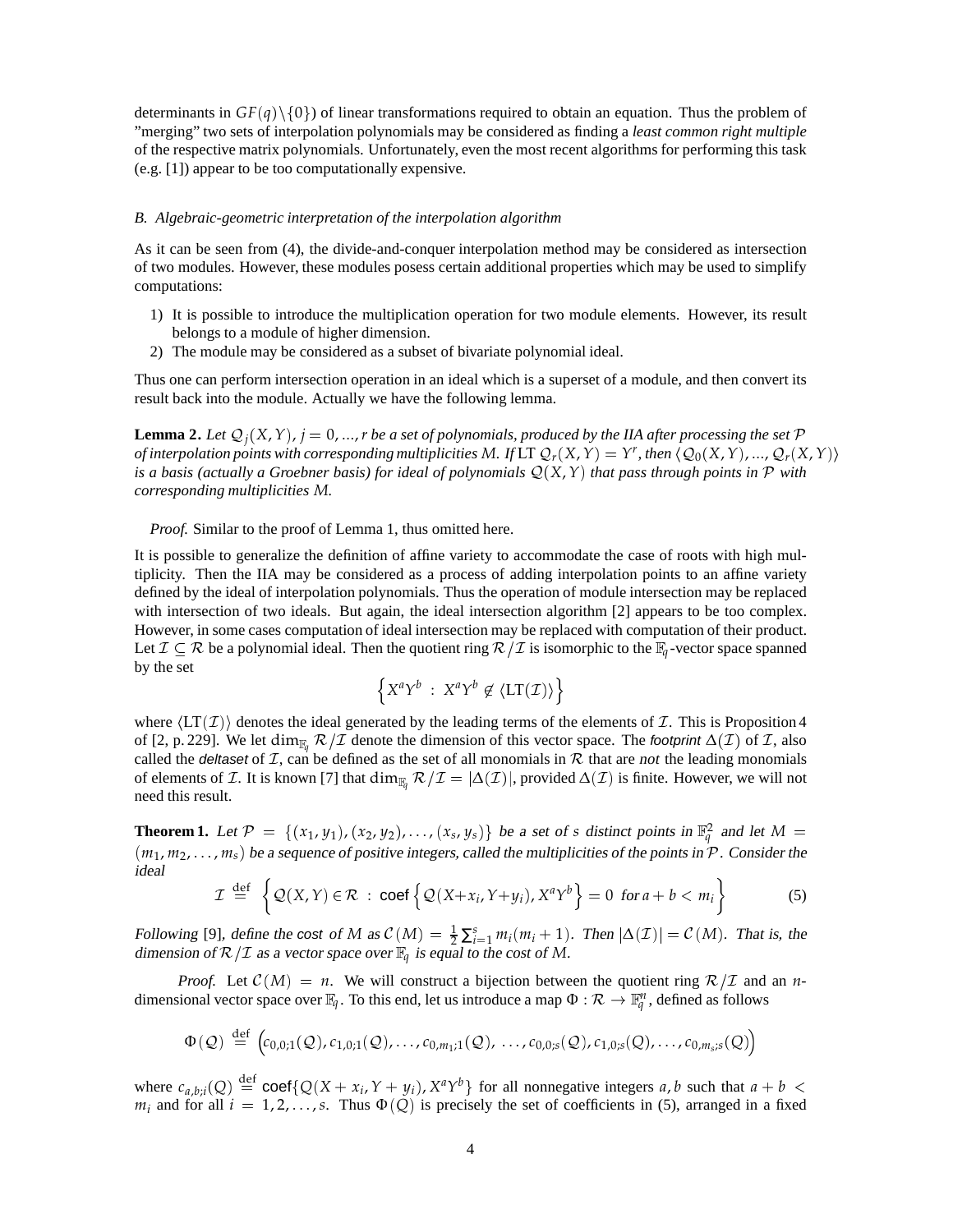determinants in  $GF(q)\$  of linear transformations required to obtain an equation. Thus the problem of "merging" two sets of interpolation polynomials may be considered as finding a *least common right multiple* of the respective matrix polynomials. Unfortunately, even the most recent algorithms for performing this task (e.g. [1]) appear to be too computationally expensive.

#### *B. Algebraic-geometric interpretation of the interpolation algorithm*

As it can be seen from (4), the divide-and-conquer interpolation method may be considered as intersection of two modules. However, these modules posess certain additional properties which may be used to simplify computations:

- 1) It is possible to introduce the multiplication operation for two module elements. However, its result belongs to a module of higher dimension.
- 2) The module may be considered as a subset of bivariate polynomial ideal.

Thus one can perform intersection operation in an ideal which is a superset of a module, and then convert its result back into the module. Actually we have the following lemma.

**Lemma 2.** Let  $\mathcal{Q}_j(X, Y)$ ,  $j = 0, ..., r$  be a set of polynomials, produced by the IIA after processing the set P *of interpolation points with corresponding multiplicities M. If*  $LTQ_r(X,Y) = Y^r$ *, then*  $\langle Q_0(X,Y),...,Q_r(X,Y)\rangle$ *is a basis (actually a Groebner basis) for ideal of polynomials*  $Q(X, Y)$  *that pass through points in*  $P$  *with corresponding multiplicities M.*

*Proof.* Similar to the proof of Lemma 1, thus omitted here.

It is possible to generalize the definition of affine variety to accommodate the case of roots with high multiplicity. Then the IIA may be considered as a process of adding interpolation points to an affine variety defined by the ideal of interpolation polynomials. Thus the operation of module intersection may be replaced with intersection of two ideals. But again, the ideal intersection algorithm [2] appears to be too complex. However, in some cases computation of ideal intersection may be replaced with computation of their product. Let  $\mathcal{I} \subseteq \mathcal{R}$  be a polynomial ideal. Then the quotient ring  $\mathcal{R}/\mathcal{I}$  is isomorphic to the  $\mathbb{F}_q$ -vector space spanned by the set

$$
\Big\{X^aY^b\ :\ X^aY^b\not\in \langle\mathrm{LT}(\mathcal{I})\rangle\Big\}
$$

where  $\langle LT(\mathcal{I})\rangle$  denotes the ideal generated by the leading terms of the elements of  $\mathcal{I}$ . This is Proposition 4 of [2, p. 229]. We let dim<sub>F<sub>*g</sub>*,  $\mathcal{R}/\mathcal{I}$  denote the dimension of this vector space. The footprint  $\Delta(\mathcal{I})$  of  $\mathcal{I}$ , also</sub></sub> called the *deltaset* of  $I$ , can be defined as the set of all monomials in  $R$  that are *not* the leading monomials of elements of *I*. It is known [7] that dim<sub>F*q*</sub>  $\mathcal{R}/\mathcal{I} = |\Delta(\mathcal{I})|$ , provided  $\Delta(\mathcal{I})$  is finite. However, we will not need this result.

**Theorem 1.** Let  $\mathcal{P} = \{(x_1, y_1), (x_2, y_2), \ldots, (x_s, y_s)\}$  be a set of *s* distinct points in  $\mathbb{F}_q^2$  and let  $M =$  $(m_1, m_2, \ldots, m_s)$  be a sequence of positive integers, called the multiplicities of the points in  $\mathcal{P}$ . Consider the ideal

$$
\mathcal{I} \stackrel{\text{def}}{=} \left\{ \mathcal{Q}(X, Y) \in \mathcal{R} \, : \, \text{coef} \left\{ \mathcal{Q}(X + x_i, Y + y_i), X^a Y^b \right\} = 0 \, \text{ for } a + b < m_i \right\} \tag{5}
$$

Following [9], define the cost of *M* as  $C(M) = \frac{1}{2} \sum_{i=1}^{s} m_i (m_i + 1)$ . Then  $|\Delta(\mathcal{I})| = C(M)$ . That is, the dimension of  $\mathcal{R}/\mathcal{I}$  as a vector space over  $\mathbb{F}_q$  is equal to the cost of M.

*Proof.* Let  $\mathcal{C}(M) = n$ . We will construct a bijection between the quotient ring  $\mathcal{R}/\mathcal{I}$  and an *n*dimensional vector space over  $\mathbb{F}_q$ . To this end, let us introduce a map  $\Phi:\mathcal{R}\to\mathbb{F}_q^n$ , defined as follows

$$
\Phi(Q) \stackrel{\text{def}}{=} (c_{0,0;1}(Q), c_{1,0;1}(Q), \ldots, c_{0,m_1;1}(Q), \ldots, c_{0,0;s}(Q), c_{1,0;s}(Q), \ldots, c_{0,m_s;s}(Q))
$$

where  $c_{a,b;i}(Q) \stackrel{\text{def}}{=} \text{coef}\{Q(X+x_i, Y+y_i), X^aY^b\}$  for all nonnegative integers a, b such that  $a+b <$  $m_i$  and for all  $i = 1, 2, ..., s$ . Thus  $\Phi(Q)$  is precisely the set of coefficients in (5), arranged in a fixed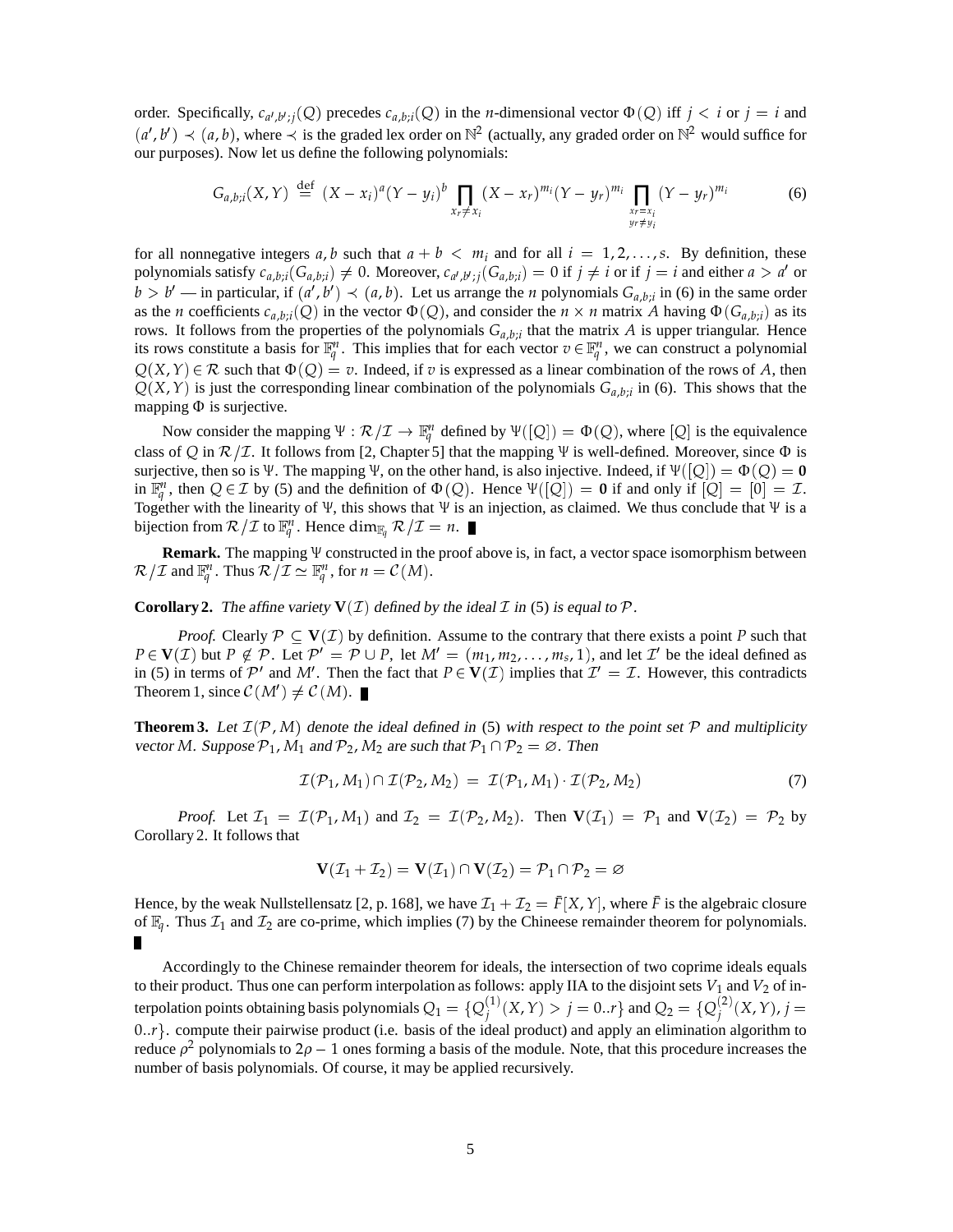order. Specifically,  $c_{a',b',j}(Q)$  precedes  $c_{a,b;i}(Q)$  in the *n*-dimensional vector  $\Phi(Q)$  iff  $j < i$  or  $j = i$  and  $(a', b') \prec (a, b)$ , where  $\prec$  is the graded lex order on  $\mathbb{N}^2$  (actually, any graded order on  $\mathbb{N}^2$  would suffice for our purposes). Now let us define the following polynomials:

$$
G_{a,b;i}(X,Y) \stackrel{\text{def}}{=} (X-x_i)^a (Y-y_i)^b \prod_{x_r \neq x_i} (X-x_r)^{m_i} (Y-y_r)^{m_i} \prod_{\substack{x_r=x_i \\ y_r \neq y_i}} (Y-y_r)^{m_i}
$$
(6)

for all nonnegative integers  $a, b$  such that  $a + b < m_i$  and for all  $i = 1, 2, \ldots, s$ . By definition, these polynomials satisfy  $c_{a,b;i}(G_{a,b;i}) \neq 0$ . Moreover,  $c_{a',b';j}(G_{a,b;i}) = 0$  if  $j \neq i$  or if  $j = i$  and either  $a > a'$  or  $b > b'$  — in particular, if  $(a', b') \prec (a, b)$ . Let us arrange the *n* polynomials  $G_{a,b;i}$  in (6) in the same order as the *n* coefficients  $c_{a,b;i}(Q)$  in the vector  $\Phi(Q)$ , and consider the  $n \times n$  matrix *A* having  $\Phi(G_{a,b;i})$  as its rows. It follows from the properties of the polynomials  $G_{a,b,i}$  that the matrix *A* is upper triangular. Hence its rows constitute a basis for  $\mathbb{F}_q^n$ . This implies that for each vector  $v \in \mathbb{F}_q^n$ , we can construct a polynomial  $Q(X, Y) \in \mathcal{R}$  such that  $\Phi(Q) = v$ . Indeed, if *v* is expressed as a linear combination of the rows of *A*, then  $Q(X, Y)$  is just the corresponding linear combination of the polynomials  $G_{a,b;i}$  in (6). This shows that the mapping  $\Phi$  is surjective.

Now consider the mapping  $\Psi : \mathcal{R}/\mathcal{I} \to \mathbb{F}_q^n$  defined by  $\Psi([\mathcal{Q}]) = \Phi(\mathcal{Q})$ , where  $[\mathcal{Q}]$  is the equivalence class of *Q* in  $\mathcal{R}/\mathcal{I}$ . It follows from [2, Chapter 5] that the mapping  $\Psi$  is well-defined. Moreover, since  $\Phi$  is surjective, then so is  $\Psi$ . The mapping  $\Psi$ , on the other hand, is also injective. Indeed, if  $\Psi([\mathcal{Q}]) = \Phi(\mathcal{Q}) = 0$ in  $\mathbb{F}_q^n$ , then  $Q \in \mathcal{I}$  by (5) and the definition of  $\Phi(Q)$ . Hence  $\Psi([Q]) = 0$  if and only if  $[Q] = [0] = \mathcal{I}$ . Together with the linearity of  $\Psi$ , this shows that  $\Psi$  is an injection, as claimed. We thus conclude that  $\Psi$  is a bijection from  $\mathcal{R}/\mathcal{I}$  to  $\mathbb{F}_q^n$ . Hence  $\dim_{\mathbb{F}_q} \mathcal{R}/\mathcal{I} = n$ .

**Remark.** The mapping  $\Psi$  constructed in the proof above is, in fact, a vector space isomorphism between  $\mathcal{R}/\mathcal{I}$  and  $\mathbb{F}_q^n$ . Thus  $\mathcal{R}/\mathcal{I} \simeq \mathbb{F}_q^n$ , for  $n = \mathcal{C}(M)$ .

**Corollary 2.** The affine variety  $V(\mathcal{I})$  defined by the ideal  $\mathcal{I}$  in (5) is equal to  $\mathcal{P}$ .

*Proof.* Clearly  $P \subseteq V(\mathcal{I})$  by definition. Assume to the contrary that there exists a point P such that  $P \in V(\mathcal{I})$  but  $P \notin \mathcal{P}$ . Let  $\mathcal{P}' = \mathcal{P} \cup P$ , let  $M' = (m_1, m_2, \ldots, m_s, 1)$ , and let  $\mathcal{I}'$  be the ideal defined as in (5) in terms of  $\mathcal{P}'$  and M'. Then the fact that  $P \in V(\mathcal{I})$  implies that  $\mathcal{I}' = \mathcal{I}$ . However, this contradicts Theorem 1, since  $C(M') \neq C(M)$ .

**Theorem 3.** Let  $\mathcal{I}(\mathcal{P}, M)$  denote the ideal defined in (5) with respect to the point set  $\mathcal{P}$  and multiplicity vector *M*. Suppose  $P_1$ ,  $M_1$  and  $P_2$ ,  $M_2$  are such that  $P_1 \cap P_2 = \emptyset$ . Then

$$
\mathcal{I}(\mathcal{P}_1, M_1) \cap \mathcal{I}(\mathcal{P}_2, M_2) = \mathcal{I}(\mathcal{P}_1, M_1) \cdot \mathcal{I}(\mathcal{P}_2, M_2) \tag{7}
$$

*Proof.* Let  $\mathcal{I}_1 = \mathcal{I}(\mathcal{P}_1, M_1)$  and  $\mathcal{I}_2 = \mathcal{I}(\mathcal{P}_2, M_2)$ . Then  $\mathbf{V}(\mathcal{I}_1) = \mathcal{P}_1$  and  $\mathbf{V}(\mathcal{I}_2) = \mathcal{P}_2$  by Corollary 2. It follows that

$$
\mathbf{V}(\mathcal{I}_1 + \mathcal{I}_2) = \mathbf{V}(\mathcal{I}_1) \cap \mathbf{V}(\mathcal{I}_2) = \mathcal{P}_1 \cap \mathcal{P}_2 = \varnothing
$$

Hence, by the weak Nullstellensatz [2, p. 168], we have  $\mathcal{I}_1 + \mathcal{I}_2 = \bar{F}[X, Y]$ , where  $\bar{F}$  is the algebraic closure of  $\mathbb{F}_q$ . Thus  $\mathcal{I}_1$  and  $\mathcal{I}_2$  are co-prime, which implies (7) by the Chineese remainder theorem for polynomials.

Accordingly to the Chinese remainder theorem for ideals, the intersection of two coprime ideals equals to their product. Thus one can perform interpolation as follows: apply IIA to the disjoint sets  $V_1$  and  $V_2$  of interpolation points obtaining basis polynomials  $Q_1 = \{Q_i^{(1)}\}$  $j^{(1)}(X,Y) > j = 0..r$ } and  $Q_2 = \{Q_j^{(2)}\}$  $j^{(2)}(X,Y)$ ,  $j =$  $0..r$ . compute their pairwise product (i.e. basis of the ideal product) and apply an elimination algorithm to reduce  $\rho^2$  polynomials to  $2\rho - 1$  ones forming a basis of the module. Note, that this procedure increases the number of basis polynomials. Of course, it may be applied recursively.